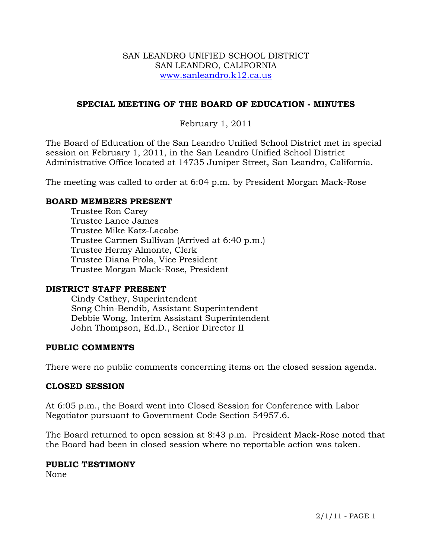### SAN LEANDRO UNIFIED SCHOOL DISTRICT SAN LEANDRO, CALIFORNIA www.sanleandro.k12.ca.us

## **SPECIAL MEETING OF THE BOARD OF EDUCATION - MINUTES**

# February 1, 2011

The Board of Education of the San Leandro Unified School District met in special session on February 1, 2011, in the San Leandro Unified School District Administrative Office located at 14735 Juniper Street, San Leandro, California.

The meeting was called to order at 6:04 p.m. by President Morgan Mack-Rose

### **BOARD MEMBERS PRESENT**

Trustee Ron Carey Trustee Lance James Trustee Mike Katz-Lacabe Trustee Carmen Sullivan (Arrived at 6:40 p.m.) Trustee Hermy Almonte, Clerk Trustee Diana Prola, Vice President Trustee Morgan Mack-Rose, President

#### **DISTRICT STAFF PRESENT**

Cindy Cathey, Superintendent Song Chin-Bendib, Assistant Superintendent Debbie Wong, Interim Assistant Superintendent John Thompson, Ed.D., Senior Director II

## **PUBLIC COMMENTS**

There were no public comments concerning items on the closed session agenda.

#### **CLOSED SESSION**

At 6:05 p.m., the Board went into Closed Session for Conference with Labor Negotiator pursuant to Government Code Section 54957.6.

The Board returned to open session at 8:43 p.m. President Mack-Rose noted that the Board had been in closed session where no reportable action was taken.

#### **PUBLIC TESTIMONY**

None